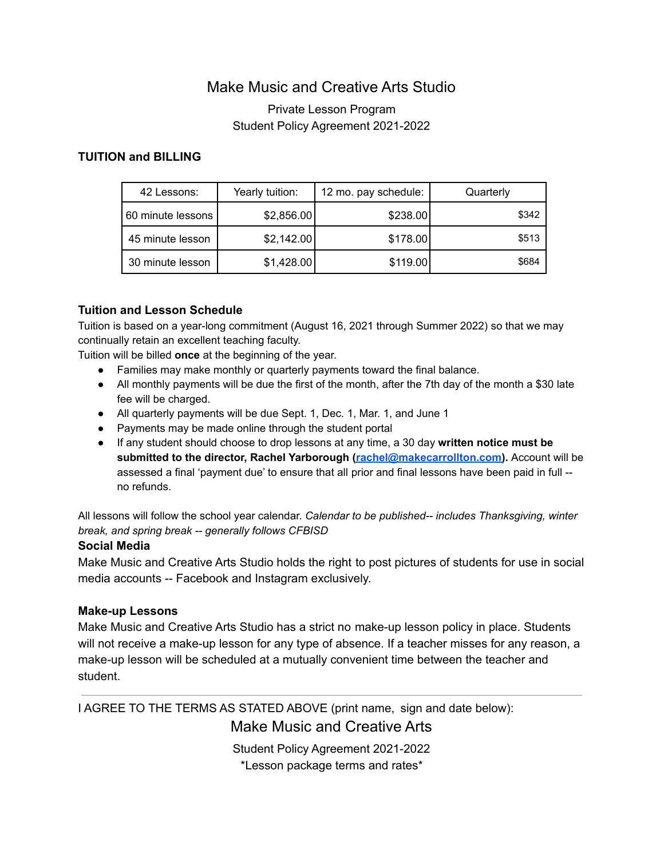# Make Music and Creative Arts Studio

### Private Lesson Program Student Policy Agreement 2021-2022

### **TUITION and BILLING**

| 42 Lessons:       | Yearly tuition: | 12 mo. pay schedule: | Quarterly |
|-------------------|-----------------|----------------------|-----------|
| 60 minute lessons | \$2,856.00      | \$238.00             | \$342     |
| 45 minute lesson  | \$2,142.00      | \$178.00             | \$513     |
| 30 minute lesson  | \$1,428.00      | \$119.00             | \$684     |

### **Tuition and Lesson Schedule**

Tuition is based on a year-long commitment (August 16, 2021 through Summer 2022) so that we may continually retain an excellent teaching faculty.

Tuition will be billed **once** at the beginning of the year.

- Families may make monthly or quarterly payments toward the final balance.
- All monthly payments will be due the first of the month, after the 7th day of the month a \$30 late fee will be charged.
- All quarterly payments will be due Sept. 1, Dec. 1, Mar. 1, and June 1
- Payments may be made online through the student portal
- If any student should choose to drop lessons at any time, a 30 day **written notice must be submitted to the director, Rachel Yarborough [\(rachel@makecarrollton.com\)](mailto:rachel@micsquare.com).** Account will be assessed a final 'payment due' to ensure that all prior and final lessons have been paid in full - no refunds.

All lessons will follow the school year calendar. *Calendar to be published-- includes Thanksgiving, winter break, and spring break -- generally follows CFBISD*

### **Social Media**

Make Music and Creative Arts Studio holds the right to post pictures of students for use in social media accounts -- Facebook and Instagram exclusively.

### **Make-up Lessons**

Make Music and Creative Arts Studio has a strict no make-up lesson policy in place. Students will not receive a make-up lesson for any type of absence. If a teacher misses for any reason, a make-up lesson will be scheduled at a mutually convenient time between the teacher and student.

I AGREE TO THE TERMS AS STATED ABOVE (print name, sign and date below):

Make Music and Creative Arts

Student Policy Agreement 2021-2022 \*Lesson package terms and rates\*